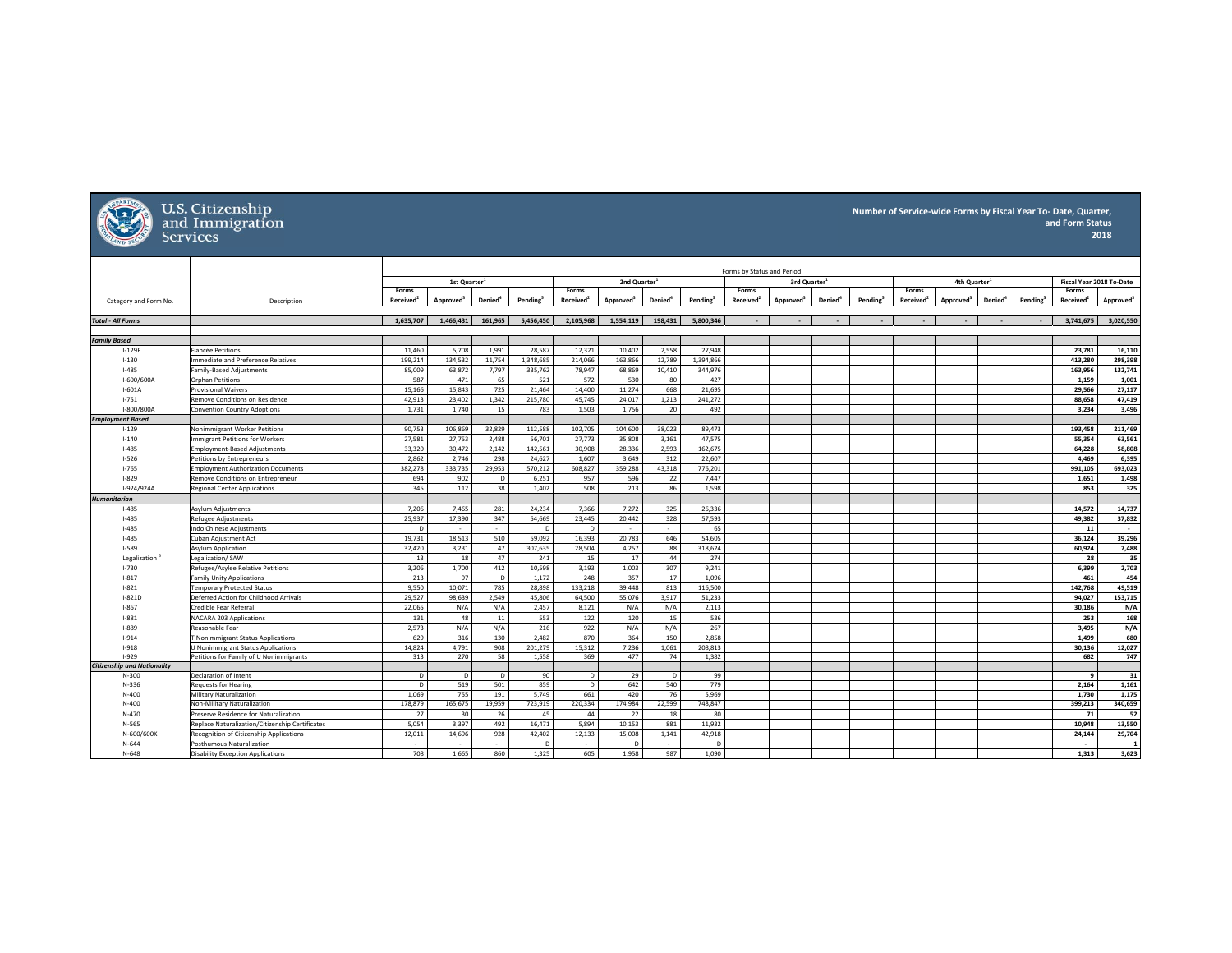

## U.S. Citizenship<br>and Immigration<br>Services

## **Number of Service‐wide Forms by Fiscal Year To‐ Date, Quarter, and Form Status 2015 2018**

|                                    |                                                                               |                                |                          |                     |                      |                                | Forms by Status and Period |                     |                      |                                |                          |               |                      |                                |                          |                            |                      |                                |                       |
|------------------------------------|-------------------------------------------------------------------------------|--------------------------------|--------------------------|---------------------|----------------------|--------------------------------|----------------------------|---------------------|----------------------|--------------------------------|--------------------------|---------------|----------------------|--------------------------------|--------------------------|----------------------------|----------------------|--------------------------------|-----------------------|
|                                    |                                                                               |                                | 1st Quarter <sup>1</sup> |                     |                      |                                | 2nd Quarter <sup>1</sup>   |                     |                      |                                | 3rd Quarter <sup>1</sup> |               |                      |                                | 4th Quarter <sup>1</sup> |                            |                      | Fiscal Year 2018 To-Date       |                       |
| Category and Form No.              | Description                                                                   | Forms<br>Received <sup>2</sup> | Approved <sup>3</sup>    | Denied <sup>®</sup> | Pending <sup>5</sup> | Forms<br>Received <sup>2</sup> | Approved <sup>3</sup>      | Denied <sup>®</sup> | Pending <sup>5</sup> | Forms<br>Received <sup>2</sup> | Approved <sup>®</sup>    | <b>Denied</b> | Pending <sup>5</sup> | Forms<br>Received <sup>2</sup> | Approved <sup>3</sup>    | <b>Denied</b> <sup>*</sup> | Pending <sup>5</sup> | Forms<br>Received <sup>2</sup> | Approved <sup>®</sup> |
| <b>Total - All Forms</b>           |                                                                               | 1.635.707                      | 1.466.431                | 161.965             | 5.456.450            | 2.105.968                      | 1.554.119                  | 198,431             | 5.800.346            |                                |                          |               |                      |                                |                          |                            |                      | 3.741.675                      | 3.020.550             |
|                                    |                                                                               |                                |                          |                     |                      |                                |                            |                     |                      |                                |                          |               |                      |                                |                          |                            |                      |                                |                       |
| <b>Family Based</b>                |                                                                               |                                |                          |                     |                      |                                |                            |                     |                      |                                |                          |               |                      |                                |                          |                            |                      |                                |                       |
| $I-129F$                           | Fiancée Petitions                                                             | 11.460                         | 5.708                    | 1,991               | 28.587               | 12,321                         | 10.402                     | 2.558               | 27.948               |                                |                          |               |                      |                                |                          |                            |                      | 23.781                         | 16,110                |
| $1 - 130$                          | Immediate and Preference Relatives                                            | 199,214                        | 134,532                  | 11,754              | 1,348,685            | 214,066                        | 163,866                    | 12,789              | 1,394,86             |                                |                          |               |                      |                                |                          |                            |                      | 413,280                        | 298,398               |
| $I-485$                            | Family-Based Adjustments                                                      | 85,009                         | 63,872                   | 7,797               | 335,762              | 78,947                         | 68,869                     | 10,410              | 344,97               |                                |                          |               |                      |                                |                          |                            |                      | 163,956                        | 132,741               |
| I-600/600A                         | <b>Orphan Petitions</b>                                                       | 587                            | 471                      | 65                  | 521                  | 572                            | 530                        | 80                  | 427                  |                                |                          |               |                      |                                |                          |                            |                      | 1.159                          | 1,001                 |
| $I-601A$                           | <b>Provisional Waivers</b>                                                    | 15,166                         | 15,843                   | 725                 | 21,464               | 14,400                         | 11,274                     | 668                 | 21,695               |                                |                          |               |                      |                                |                          |                            |                      | 29,566                         | 27,117                |
| $1 - 751$                          | Remove Conditions on Residence                                                | 42,913                         | 23,402                   | 1,342               | 215,780              | 45,745                         | 24,017                     | 1,213               | 241,272              |                                |                          |               |                      |                                |                          |                            |                      | 88.658                         | 47,419                |
| I-800/800A                         | <b>Convention Country Adoptions</b>                                           | 1,731                          | 1,740                    | 15                  | 783                  | 1,503                          | 1,756                      | 20                  | 492                  |                                |                          |               |                      |                                |                          |                            |                      | 3,234                          | 3,496                 |
| <b>Employment Based</b>            |                                                                               |                                |                          |                     |                      |                                |                            |                     |                      |                                |                          |               |                      |                                |                          |                            |                      |                                |                       |
| $1 - 129$                          | Nonimmigrant Worker Petitions                                                 | 90,753                         | 106,869                  | 32,829              | 112,588              | 102,705                        | 104,600                    | 38,023              | 89,473               |                                |                          |               |                      |                                |                          |                            |                      | 193.458                        | 211,469               |
| $1 - 140$                          | Immigrant Petitions for Workers                                               | 27,581                         | 27,753                   | 2,488               | 56,701               | 27,773                         | 35,808                     | 3,161               | 47,57                |                                |                          |               |                      |                                |                          |                            |                      | 55,354                         | 63,561                |
| $I - 485$                          | <b>Employment-Based Adjustments</b>                                           | 33,320                         | 30,472                   | 2,142               | 142,561              | 30,908                         | 28,336                     | 2,593               | 162,675              |                                |                          |               |                      |                                |                          |                            |                      | 64,228                         | 58,808                |
| $1 - 526$                          | Petitions by Entrepreneurs                                                    | 2,862                          | 2,746                    | 298                 | 24,627               | 1,607                          | 3,649                      | 312                 | 22,607               |                                |                          |               |                      |                                |                          |                            |                      | 4,469                          | 6,395                 |
| $1 - 765$                          | <b>Employment Authorization Documents</b>                                     | 382.278                        | 333.735                  | 29.953              | 570.212              | 608.827                        | 359.288                    | 43.318              | 776,201              |                                |                          |               |                      |                                |                          |                            |                      | 991.105                        | 693.023               |
| $1 - 829$                          | Remove Conditions on Entrepreneur                                             | 694                            | 902                      | D                   | 6,251                | 957                            | 596                        | 22                  | 7,447                |                                |                          |               |                      |                                |                          |                            |                      | 1,651                          | 1,498                 |
| I-924/924A                         | <b>Regional Center Applications</b>                                           | 345                            | 112                      | 38                  | 1.402                | 508                            | 213                        | 86                  | 1.598                |                                |                          |               |                      |                                |                          |                            |                      | 853                            | 325                   |
| <b>Humanitarian</b>                |                                                                               |                                |                          |                     |                      |                                |                            |                     |                      |                                |                          |               |                      |                                |                          |                            |                      |                                |                       |
| $1 - 485$                          | <b>Asylum Adiustments</b>                                                     | 7.206                          | 7.465                    | 281                 | 24.234               | 7.366                          | 7,272                      | 325                 | 26,336               |                                |                          |               |                      |                                |                          |                            |                      | 14.572                         | 14.737                |
| $1 - 485$                          | Refugee Adjustments                                                           | 25,937                         | 17,390                   | 347                 | 54,669               | 23,445                         | 20,442                     | 328                 | 57,593               |                                |                          |               |                      |                                |                          |                            |                      | 49.382                         | 37,832                |
| $1 - 485$                          | Indo Chinese Adjustments                                                      | D                              | $\sim$                   | $\sim$              | $\Box$               | D                              |                            | $\sim$              | 65                   |                                |                          |               |                      |                                |                          |                            |                      | 11                             | $\sim$                |
| $I - 485$                          | Cuban Adjustment Act                                                          | 19,731                         | 18,513                   | 510                 | 59,092               | 16,393                         | 20,783                     | 646                 | 54,605               |                                |                          |               |                      |                                |                          |                            |                      | 36,124                         | 39,296                |
| $1 - 589$                          | Asylum Application                                                            | 32,420                         | 3,231                    | 47                  | 307,635              | 28.504                         | 4,257                      | 88                  | 318,624              |                                |                          |               |                      |                                |                          |                            |                      | 60.924                         | 7,488                 |
| Legalization                       | Legalization/SAW                                                              | 13                             | 18                       | 47                  | 241                  | 15                             | 17                         | 44                  | 274                  |                                |                          |               |                      |                                |                          |                            |                      | 28                             | 35                    |
| $1 - 730$                          | Refugee/Asylee Relative Petitions                                             | 3,206                          | 1,700                    | 412                 | 10,598               | 3,193                          | 1,003                      | 307                 | 9,241                |                                |                          |               |                      |                                |                          |                            |                      | 6,399                          | 2,703                 |
| $1 - 817$                          | <b>Family Unity Applications</b>                                              | 213                            | 97                       | $\mathsf{D}$        | 1,172                | 248                            | 357                        | 17                  | 1,096                |                                |                          |               |                      |                                |                          |                            |                      | 461                            | 454                   |
| $1 - 821$                          | <b>Temporary Protected Status</b>                                             | 9,550                          | 10,071                   | 785                 | 28,898               | 133,218                        | 39,448                     | 813                 | 116,500              |                                |                          |               |                      |                                |                          |                            |                      | 142,768                        | 49,519                |
| $I-821D$                           | Deferred Action for Childhood Arrivals                                        | 29.527                         | 98,639                   | 2.549               | 45.806               | 64.500                         | 55,076                     | 3,917               | 51,233               |                                |                          |               |                      |                                |                          |                            |                      | 94.027                         | 153,715               |
| $1 - 867$                          | Credible Fear Referral                                                        | 22,065                         | N/A<br>48                | N/A                 | 2,457<br>553         | 8,121                          | N/A<br>120                 | N/A                 | 2,113                |                                |                          |               |                      |                                |                          |                            |                      | 30,186                         | N/A                   |
| $1 - 881$                          | NACARA 203 Applications                                                       | 131                            |                          | 11                  |                      | 122                            |                            | 15                  | 536                  |                                |                          |               |                      |                                |                          |                            |                      | 253                            | 168                   |
| $1 - 889$<br>$1 - 914$             | Reasonable Fear<br><b>T Nonimmigrant Status Applications</b>                  | 2,573<br>629                   | N/A<br>316               | N/A<br>130          | 216<br>2.482         | 922<br>870                     | N/A<br>364                 | N/A<br>150          | 267<br>2,858         |                                |                          |               |                      |                                |                          |                            |                      | 3,495<br>1.499                 | N/A<br>680            |
| $1 - 918$                          |                                                                               | 14.824                         | 4.791                    | 908                 | 201.279              | 15.312                         | 7.236                      | 1.061               | 208.813              |                                |                          |               |                      |                                |                          |                            |                      | 30.136                         | 12.027                |
| $1 - 929$                          | U Nonimmigrant Status Applications<br>Petitions for Family of U Nonimmigrants | 313                            | 270                      | 58                  | 1,558                | 369                            | 477                        | 74                  | 1,382                |                                |                          |               |                      |                                |                          |                            |                      | 682                            | 747                   |
| <b>Citizenship and Nationality</b> |                                                                               |                                |                          |                     |                      |                                |                            |                     |                      |                                |                          |               |                      |                                |                          |                            |                      |                                |                       |
| $N - 300$                          | Declaration of Intent                                                         | $\mathsf{D}$                   | $\mathsf{D}$             | $\mathsf{D}$        | 90                   | $\mathsf{D}$                   | 29                         | $\overline{D}$      | 99                   |                                |                          |               |                      |                                |                          |                            |                      | $\overline{9}$                 | 31                    |
| $N-336$                            | <b>Requests for Hearing</b>                                                   | $\overline{D}$                 | 519                      | 501                 | 859                  | D                              | 642                        | 540                 | 779                  |                                |                          |               |                      |                                |                          |                            |                      | 2,164                          | 1,161                 |
| $N-400$                            | Military Naturalization                                                       | 1.069                          | 755                      | 191                 | 5.749                | 661                            | 420                        | 76                  | 5,969                |                                |                          |               |                      |                                |                          |                            |                      | 1.730                          | 1,175                 |
| $N-400$                            | Non-Military Naturalization                                                   | 178,879                        | 165,675                  | 19,959              | 723,919              | 220,334                        | 174,984                    | 22,599              | 748,847              |                                |                          |               |                      |                                |                          |                            |                      | 399,213                        | 340,659               |
| N-470                              | Preserve Residence for Naturalization                                         | 27                             | 30                       | 26                  | 45                   | 44                             | 22                         | 18                  | 80                   |                                |                          |               |                      |                                |                          |                            |                      | 71                             | 52                    |
| N-565                              | Replace Naturalization/Citizenship Certificates                               | 5,054                          | 3,397                    | 492                 | 16,471               | 5,894                          | 10,153                     | 881                 | 11,932               |                                |                          |               |                      |                                |                          |                            |                      | 10.948                         | 13,550                |
| N-600/600K                         | Recognition of Citizenship Applications                                       | 12,011                         | 14,696                   | 928                 | 42,402               | 12,133                         | 15,008                     | 1,141               | 42,918               |                                |                          |               |                      |                                |                          |                            |                      | 24.144                         | 29,704                |
| $N - 644$                          | <b>Posthumous Naturalization</b>                                              | $\sim$                         | $\overline{\phantom{a}}$ |                     | $\sqrt{2}$           | ÷.                             | D                          |                     |                      |                                |                          |               |                      |                                |                          |                            |                      | $\overline{\phantom{a}}$       |                       |
| $N - 648$                          | <b>Disability Exception Applications</b>                                      | 708                            | 1.665                    | 860                 | 1.325                | 605                            | 1.958                      | 987                 | 1.090                |                                |                          |               |                      |                                |                          |                            |                      | 1.313                          | 3.623                 |